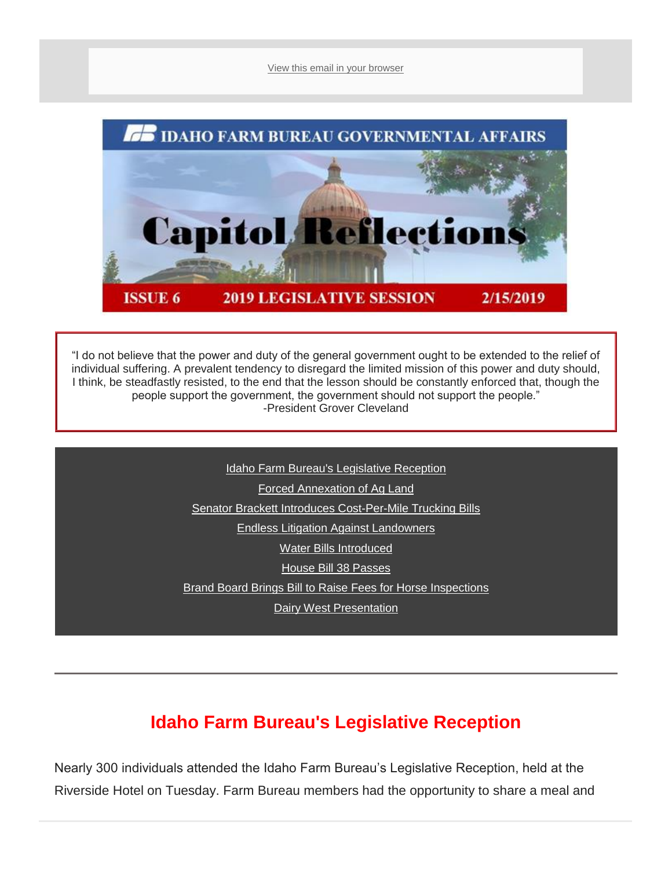[View this email in your browser](mhtml:file://C:/Users/mbechaver/AppData/Local/Microsoft/Windows/INetCache/Content.Outlook/55FT1RMR/email.mht!https://mailchi.mp/idahofb.org/capitol-reflections-issue-6?e=a4ab29d1bd)



"I do not believe that the power and duty of the general government ought to be extended to the relief of individual suffering. A prevalent tendency to disregard the limited mission of this power and duty should, I think, be steadfastly resisted, to the end that the lesson should be constantly enforced that, though the people support the government, the government should not support the people." -President Grover Cleveland

> [Idaho Farm Bureau's Legislative Reception](file:///C:/Users/mbechaver/AppData/Local/Microsoft/Windows/INetCache/Content.Outlook/55FT1RMR/email.mht%23IFB%20Leg%20Rec) [Forced Annexation of Ag Land](file:///C:/Users/mbechaver/AppData/Local/Microsoft/Windows/INetCache/Content.Outlook/55FT1RMR/email.mht%23Forced%20An) [Senator Brackett Introduces Cost-Per-Mile Trucking Bills](file:///C:/Users/mbechaver/AppData/Local/Microsoft/Windows/INetCache/Content.Outlook/55FT1RMR/email.mht%23Sent%20B) [E](file:///C:/Users/mbechaver/AppData/Local/Microsoft/Windows/INetCache/Content.Outlook/55FT1RMR/email.mht%23S1041)[ndless Litigation Against Landowners](file:///C:/Users/mbechaver/AppData/Local/Microsoft/Windows/INetCache/Content.Outlook/55FT1RMR/email.mht%23Endless) [W](file:///C:/Users/mbechaver/AppData/Local/Microsoft/Windows/INetCache/Content.Outlook/55FT1RMR/email.mht%23Invasive)[ater Bills Introduced](file:///C:/Users/mbechaver/AppData/Local/Microsoft/Windows/INetCache/Content.Outlook/55FT1RMR/email.mht%23Water) House [Bill 38 Passes](file:///C:/Users/mbechaver/AppData/Local/Microsoft/Windows/INetCache/Content.Outlook/55FT1RMR/email.mht%23HB38) [Brand Board Brings Bill to Raise Fees for Horse Inspections](file:///C:/Users/mbechaver/AppData/Local/Microsoft/Windows/INetCache/Content.Outlook/55FT1RMR/email.mht%23Brand%20Board)

[Dairy West Presentation](file:///C:/Users/mbechaver/AppData/Local/Microsoft/Windows/INetCache/Content.Outlook/55FT1RMR/email.mht%23Dairy%20W)

# **Idaho Farm Bureau's Legislative Reception**

Nearly 300 individuals attended the Idaho Farm Bureau's Legislative Reception, held at the Riverside Hotel on Tuesday. Farm Bureau members had the opportunity to share a meal and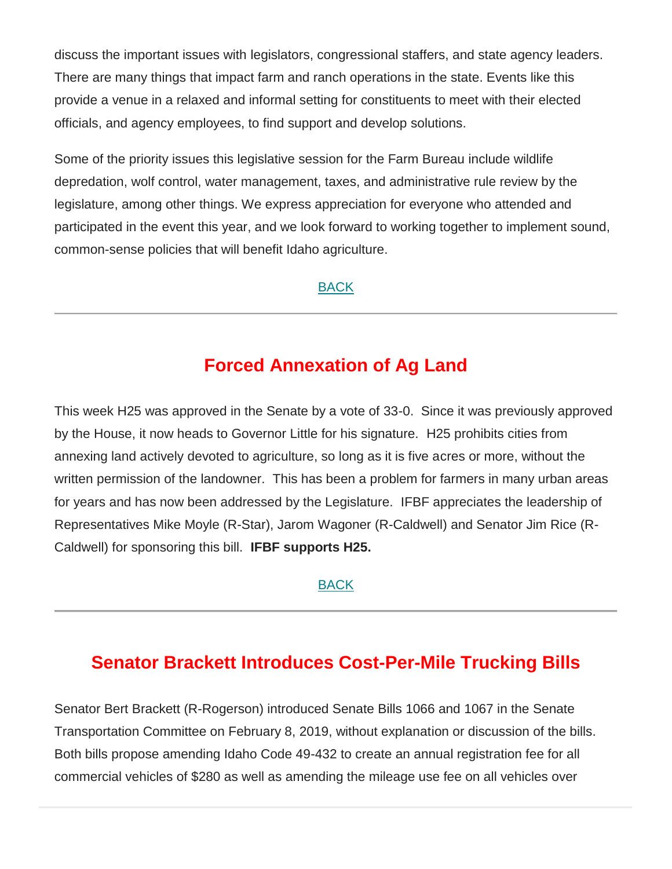discuss the important issues with legislators, congressional staffers, and state agency leaders. There are many things that impact farm and ranch operations in the state. Events like this provide a venue in a relaxed and informal setting for constituents to meet with their elected officials, and agency employees, to find support and develop solutions.

Some of the priority issues this legislative session for the Farm Bureau include wildlife depredation, wolf control, water management, taxes, and administrative rule review by the legislature, among other things. We express appreciation for everyone who attended and participated in the event this year, and we look forward to working together to implement sound, common-sense policies that will benefit Idaho agriculture.

[BACK](file:///C:/Users/mbechaver/AppData/Local/Microsoft/Windows/INetCache/Content.Outlook/55FT1RMR/email.mht%23Navigation)

## **Forced Annexation of Ag Land**

This week H25 was approved in the Senate by a vote of 33-0. Since it was previously approved by the House, it now heads to Governor Little for his signature. H25 prohibits cities from annexing land actively devoted to agriculture, so long as it is five acres or more, without the written permission of the landowner. This has been a problem for farmers in many urban areas for years and has now been addressed by the Legislature. IFBF appreciates the leadership of Representatives Mike Moyle (R-Star), Jarom Wagoner (R-Caldwell) and Senator Jim Rice (R-Caldwell) for sponsoring this bill. **IFBF supports H25.**

[BACK](file:///C:/Users/mbechaver/AppData/Local/Microsoft/Windows/INetCache/Content.Outlook/55FT1RMR/email.mht%23Navigation)

### **Senator Brackett Introduces Cost-Per-Mile Trucking Bills**

Senator Bert Brackett (R-Rogerson) introduced Senate Bills 1066 and 1067 in the Senate Transportation Committee on February 8, 2019, without explanation or discussion of the bills. Both bills propose amending Idaho Code 49-432 to create an annual registration fee for all commercial vehicles of \$280 as well as amending the mileage use fee on all vehicles over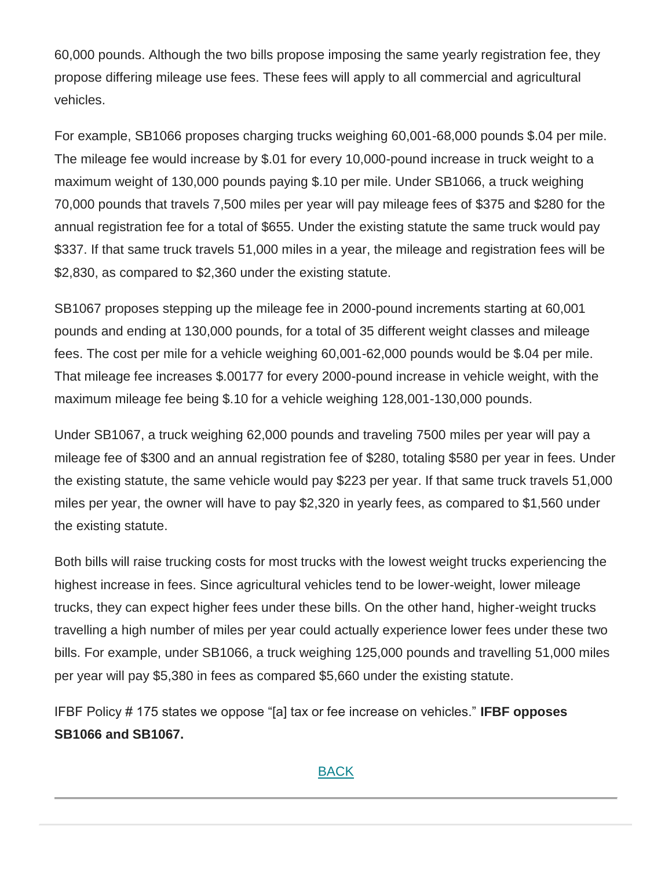60,000 pounds. Although the two bills propose imposing the same yearly registration fee, they propose differing mileage use fees. These fees will apply to all commercial and agricultural vehicles.

For example, SB1066 proposes charging trucks weighing 60,001-68,000 pounds \$.04 per mile. The mileage fee would increase by \$.01 for every 10,000-pound increase in truck weight to a maximum weight of 130,000 pounds paying \$.10 per mile. Under SB1066, a truck weighing 70,000 pounds that travels 7,500 miles per year will pay mileage fees of \$375 and \$280 for the annual registration fee for a total of \$655. Under the existing statute the same truck would pay \$337. If that same truck travels 51,000 miles in a year, the mileage and registration fees will be \$2,830, as compared to \$2,360 under the existing statute.

SB1067 proposes stepping up the mileage fee in 2000-pound increments starting at 60,001 pounds and ending at 130,000 pounds, for a total of 35 different weight classes and mileage fees. The cost per mile for a vehicle weighing 60,001-62,000 pounds would be \$.04 per mile. That mileage fee increases \$.00177 for every 2000-pound increase in vehicle weight, with the maximum mileage fee being \$.10 for a vehicle weighing 128,001-130,000 pounds.

Under SB1067, a truck weighing 62,000 pounds and traveling 7500 miles per year will pay a mileage fee of \$300 and an annual registration fee of \$280, totaling \$580 per year in fees. Under the existing statute, the same vehicle would pay \$223 per year. If that same truck travels 51,000 miles per year, the owner will have to pay \$2,320 in yearly fees, as compared to \$1,560 under the existing statute.

Both bills will raise trucking costs for most trucks with the lowest weight trucks experiencing the highest increase in fees. Since agricultural vehicles tend to be lower-weight, lower mileage trucks, they can expect higher fees under these bills. On the other hand, higher-weight trucks travelling a high number of miles per year could actually experience lower fees under these two bills. For example, under SB1066, a truck weighing 125,000 pounds and travelling 51,000 miles per year will pay \$5,380 in fees as compared \$5,660 under the existing statute.

IFBF Policy # 175 states we oppose "[a] tax or fee increase on vehicles." **IFBF opposes SB1066 and SB1067.**

### [BACK](file:///C:/Users/mbechaver/AppData/Local/Microsoft/Windows/INetCache/Content.Outlook/55FT1RMR/email.mht%23Navigation)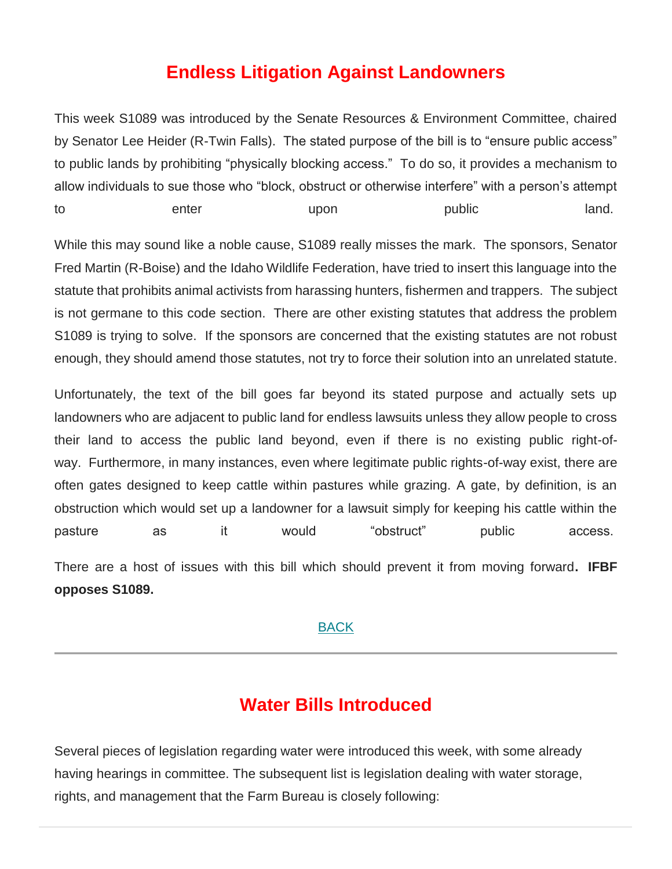## **Endless Litigation Against Landowners**

This week S1089 was introduced by the Senate Resources & Environment Committee, chaired by Senator Lee Heider (R-Twin Falls). The stated purpose of the bill is to "ensure public access" to public lands by prohibiting "physically blocking access." To do so, it provides a mechanism to allow individuals to sue those who "block, obstruct or otherwise interfere" with a person's attempt to enter upon public land.

While this may sound like a noble cause, S1089 really misses the mark. The sponsors, Senator Fred Martin (R-Boise) and the Idaho Wildlife Federation, have tried to insert this language into the statute that prohibits animal activists from harassing hunters, fishermen and trappers. The subject is not germane to this code section. There are other existing statutes that address the problem S1089 is trying to solve. If the sponsors are concerned that the existing statutes are not robust enough, they should amend those statutes, not try to force their solution into an unrelated statute.

Unfortunately, the text of the bill goes far beyond its stated purpose and actually sets up landowners who are adjacent to public land for endless lawsuits unless they allow people to cross their land to access the public land beyond, even if there is no existing public right-ofway. Furthermore, in many instances, even where legitimate public rights-of-way exist, there are often gates designed to keep cattle within pastures while grazing. A gate, by definition, is an obstruction which would set up a landowner for a lawsuit simply for keeping his cattle within the pasture as it would "obstruct" public access.

There are a host of issues with this bill which should prevent it from moving forward**. IFBF opposes S1089.**

#### **[BACK](file:///C:/Users/mbechaver/AppData/Local/Microsoft/Windows/INetCache/Content.Outlook/55FT1RMR/email.mht%23Navigation)**

### **Water Bills Introduced**

Several pieces of legislation regarding water were introduced this week, with some already having hearings in committee. The subsequent list is legislation dealing with water storage, rights, and management that the Farm Bureau is closely following: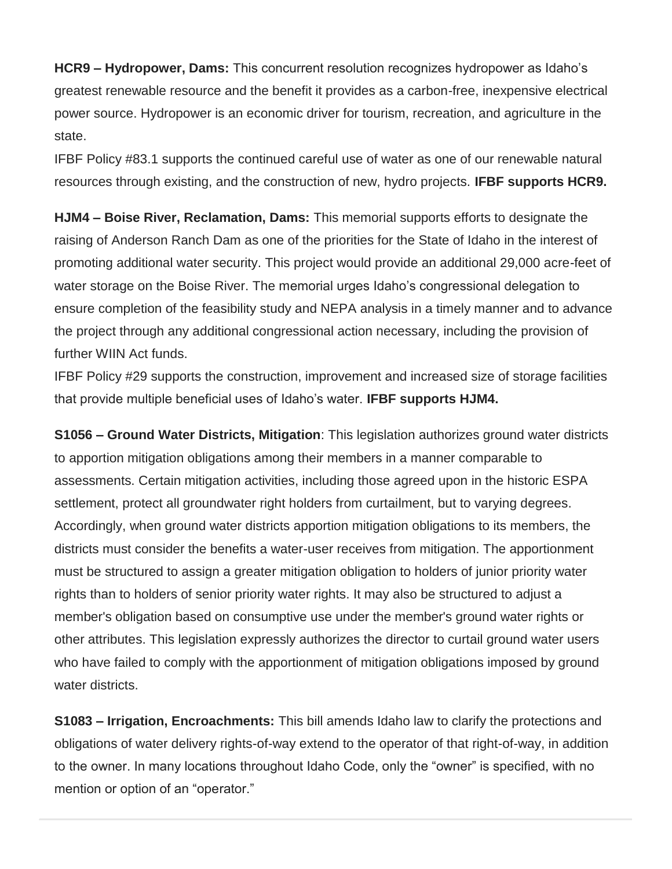**HCR9 – Hydropower, Dams:** This concurrent resolution recognizes hydropower as Idaho's greatest renewable resource and the benefit it provides as a carbon-free, inexpensive electrical power source. Hydropower is an economic driver for tourism, recreation, and agriculture in the state.

IFBF Policy #83.1 supports the continued careful use of water as one of our renewable natural resources through existing, and the construction of new, hydro projects. **IFBF supports HCR9.**

**HJM4 – Boise River, Reclamation, Dams:** This memorial supports efforts to designate the raising of Anderson Ranch Dam as one of the priorities for the State of Idaho in the interest of promoting additional water security. This project would provide an additional 29,000 acre-feet of water storage on the Boise River. The memorial urges Idaho's congressional delegation to ensure completion of the feasibility study and NEPA analysis in a timely manner and to advance the project through any additional congressional action necessary, including the provision of further WIIN Act funds.

IFBF Policy #29 supports the construction, improvement and increased size of storage facilities that provide multiple beneficial uses of Idaho's water. **IFBF supports HJM4.**

**S1056 – Ground Water Districts, Mitigation**: This legislation authorizes ground water districts to apportion mitigation obligations among their members in a manner comparable to assessments. Certain mitigation activities, including those agreed upon in the historic ESPA settlement, protect all groundwater right holders from curtailment, but to varying degrees. Accordingly, when ground water districts apportion mitigation obligations to its members, the districts must consider the benefits a water-user receives from mitigation. The apportionment must be structured to assign a greater mitigation obligation to holders of junior priority water rights than to holders of senior priority water rights. It may also be structured to adjust a member's obligation based on consumptive use under the member's ground water rights or other attributes. This legislation expressly authorizes the director to curtail ground water users who have failed to comply with the apportionment of mitigation obligations imposed by ground water districts.

**S1083 – Irrigation, Encroachments:** This bill amends Idaho law to clarify the protections and obligations of water delivery rights-of-way extend to the operator of that right-of-way, in addition to the owner. In many locations throughout Idaho Code, only the "owner" is specified, with no mention or option of an "operator."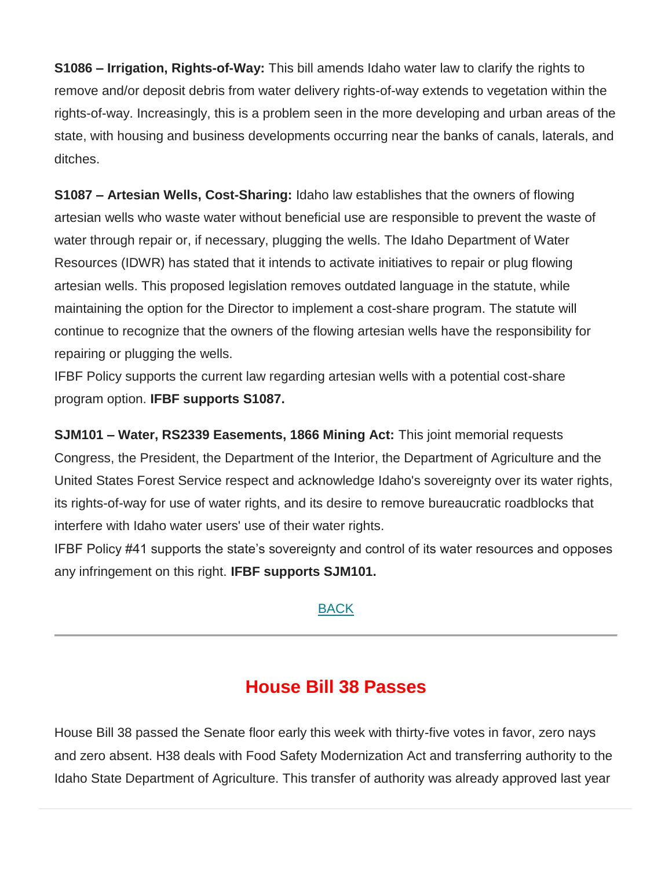**S1086 – Irrigation, Rights-of-Way:** This bill amends Idaho water law to clarify the rights to remove and/or deposit debris from water delivery rights-of-way extends to vegetation within the rights-of-way. Increasingly, this is a problem seen in the more developing and urban areas of the state, with housing and business developments occurring near the banks of canals, laterals, and ditches.

**S1087 – Artesian Wells, Cost-Sharing:** Idaho law establishes that the owners of flowing artesian wells who waste water without beneficial use are responsible to prevent the waste of water through repair or, if necessary, plugging the wells. The Idaho Department of Water Resources (IDWR) has stated that it intends to activate initiatives to repair or plug flowing artesian wells. This proposed legislation removes outdated language in the statute, while maintaining the option for the Director to implement a cost-share program. The statute will continue to recognize that the owners of the flowing artesian wells have the responsibility for repairing or plugging the wells.

IFBF Policy supports the current law regarding artesian wells with a potential cost-share program option. **IFBF supports S1087.**

**SJM101 – Water, RS2339 Easements, 1866 Mining Act:** This joint memorial requests Congress, the President, the Department of the Interior, the Department of Agriculture and the United States Forest Service respect and acknowledge Idaho's sovereignty over its water rights, its rights-of-way for use of water rights, and its desire to remove bureaucratic roadblocks that interfere with Idaho water users' use of their water rights.

IFBF Policy #41 supports the state's sovereignty and control of its water resources and opposes any infringement on this right. **IFBF supports SJM101.**

#### [BACK](file:///C:/Users/mbechaver/AppData/Local/Microsoft/Windows/INetCache/Content.Outlook/55FT1RMR/email.mht%23Navigation)

### **House Bill 38 Passes**

House Bill 38 passed the Senate floor early this week with thirty-five votes in favor, zero nays and zero absent. H38 deals with Food Safety Modernization Act and transferring authority to the Idaho State Department of Agriculture. This transfer of authority was already approved last year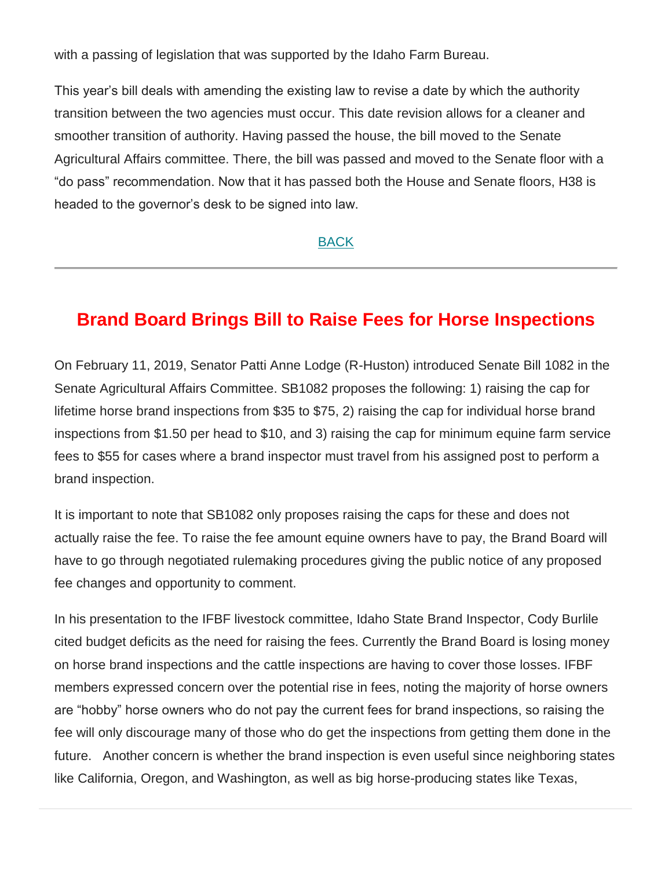with a passing of legislation that was supported by the Idaho Farm Bureau.

This year's bill deals with amending the existing law to revise a date by which the authority transition between the two agencies must occur. This date revision allows for a cleaner and smoother transition of authority. Having passed the house, the bill moved to the Senate Agricultural Affairs committee. There, the bill was passed and moved to the Senate floor with a "do pass" recommendation. Now that it has passed both the House and Senate floors, H38 is headed to the governor's desk to be signed into law.

[BACK](file:///C:/Users/mbechaver/AppData/Local/Microsoft/Windows/INetCache/Content.Outlook/55FT1RMR/email.mht%23Navigation)

### **Brand Board Brings Bill to Raise Fees for Horse Inspections**

On February 11, 2019, Senator Patti Anne Lodge (R-Huston) introduced Senate Bill 1082 in the Senate Agricultural Affairs Committee. SB1082 proposes the following: 1) raising the cap for lifetime horse brand inspections from \$35 to \$75, 2) raising the cap for individual horse brand inspections from \$1.50 per head to \$10, and 3) raising the cap for minimum equine farm service fees to \$55 for cases where a brand inspector must travel from his assigned post to perform a brand inspection.

It is important to note that SB1082 only proposes raising the caps for these and does not actually raise the fee. To raise the fee amount equine owners have to pay, the Brand Board will have to go through negotiated rulemaking procedures giving the public notice of any proposed fee changes and opportunity to comment.

In his presentation to the IFBF livestock committee, Idaho State Brand Inspector, Cody Burlile cited budget deficits as the need for raising the fees. Currently the Brand Board is losing money on horse brand inspections and the cattle inspections are having to cover those losses. IFBF members expressed concern over the potential rise in fees, noting the majority of horse owners are "hobby" horse owners who do not pay the current fees for brand inspections, so raising the fee will only discourage many of those who do get the inspections from getting them done in the future. Another concern is whether the brand inspection is even useful since neighboring states like California, Oregon, and Washington, as well as big horse-producing states like Texas,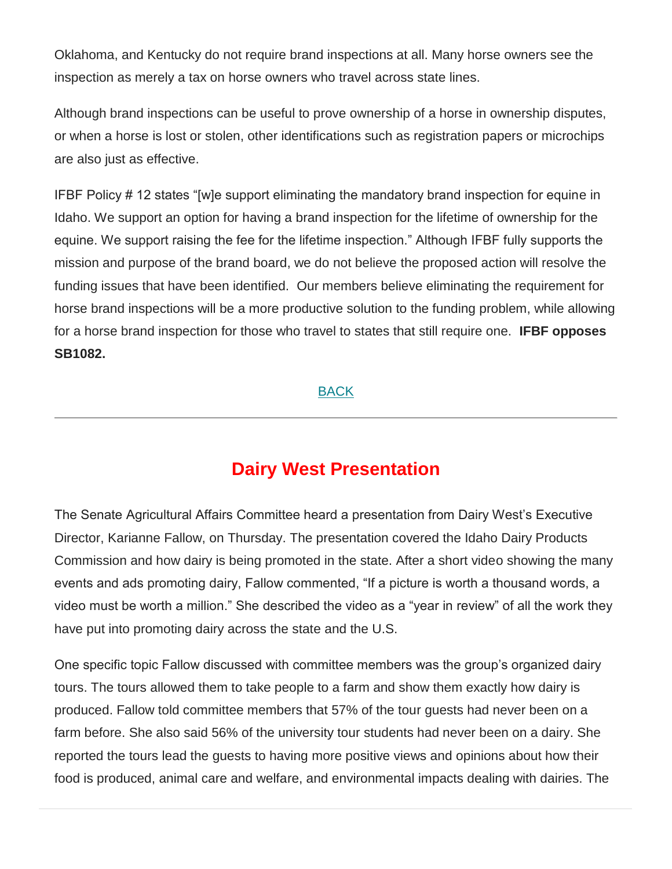Oklahoma, and Kentucky do not require brand inspections at all. Many horse owners see the inspection as merely a tax on horse owners who travel across state lines.

Although brand inspections can be useful to prove ownership of a horse in ownership disputes, or when a horse is lost or stolen, other identifications such as registration papers or microchips are also just as effective.

IFBF Policy # 12 states "[w]e support eliminating the mandatory brand inspection for equine in Idaho. We support an option for having a brand inspection for the lifetime of ownership for the equine. We support raising the fee for the lifetime inspection." Although IFBF fully supports the mission and purpose of the brand board, we do not believe the proposed action will resolve the funding issues that have been identified. Our members believe eliminating the requirement for horse brand inspections will be a more productive solution to the funding problem, while allowing for a horse brand inspection for those who travel to states that still require one. **IFBF opposes SB1082.**

**[BACK](file:///C:/Users/mbechaver/AppData/Local/Microsoft/Windows/INetCache/Content.Outlook/55FT1RMR/email.mht%23Navigation)** 

### **Dairy West Presentation**

The Senate Agricultural Affairs Committee heard a presentation from Dairy West's Executive Director, Karianne Fallow, on Thursday. The presentation covered the Idaho Dairy Products Commission and how dairy is being promoted in the state. After a short video showing the many events and ads promoting dairy, Fallow commented, "If a picture is worth a thousand words, a video must be worth a million." She described the video as a "year in review" of all the work they have put into promoting dairy across the state and the U.S.

One specific topic Fallow discussed with committee members was the group's organized dairy tours. The tours allowed them to take people to a farm and show them exactly how dairy is produced. Fallow told committee members that 57% of the tour guests had never been on a farm before. She also said 56% of the university tour students had never been on a dairy. She reported the tours lead the guests to having more positive views and opinions about how their food is produced, animal care and welfare, and environmental impacts dealing with dairies. The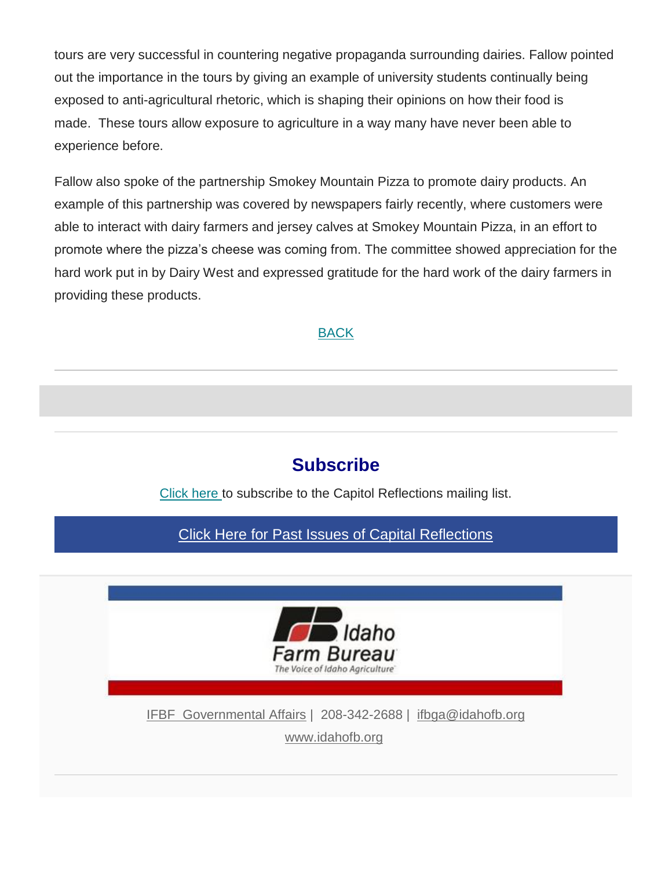tours are very successful in countering negative propaganda surrounding dairies. Fallow pointed out the importance in the tours by giving an example of university students continually being exposed to anti-agricultural rhetoric, which is shaping their opinions on how their food is made. These tours allow exposure to agriculture in a way many have never been able to experience before.

Fallow also spoke of the partnership Smokey Mountain Pizza to promote dairy products. An example of this partnership was covered by newspapers fairly recently, where customers were able to interact with dairy farmers and jersey calves at Smokey Mountain Pizza, in an effort to promote where the pizza's cheese was coming from. The committee showed appreciation for the hard work put in by Dairy West and expressed gratitude for the hard work of the dairy farmers in providing these products.

### [BACK](file:///C:/Users/mbechaver/AppData/Local/Microsoft/Windows/INetCache/Content.Outlook/55FT1RMR/email.mht%23Navigation)

# **Subscribe**

[Click here](mailto:ifbga@idahofb.org?subject=Subscription%3A%20Capitol%20Reflections&body=Hi%2C%0A%0APlease%20add%20me%20to%20your%20Capitol%20Reflections%20Newsletter%20email%20list.%0A%0AThank%20you!) to subscribe to the Capitol Reflections mailing list.

[Click Here for Past Issues of Capital Reflections](mhtml:file://C:/Users/mbechaver/AppData/Local/Microsoft/Windows/INetCache/Content.Outlook/55FT1RMR/email.mht!https://idahofb.us11.list-manage.com/track/click?u=27b927d83e0ea466788f587aa&id=dd96374dee&e=a4ab29d1bd)



IFBF [Governmental Affairs](mhtml:file://C:/Users/mbechaver/AppData/Local/Microsoft/Windows/INetCache/Content.Outlook/55FT1RMR/email.mht!https://idahofb.us11.list-manage.com/track/click?u=27b927d83e0ea466788f587aa&id=d94ad527ae&e=a4ab29d1bd) | 208-342-2688 | [ifbga@idahofb.org](mailto:ifbga@idahofb.org?subject=Capitol%20Reflections%20Contact&body=Insert%20your%20comments) [www.idahofb.org](mhtml:file://C:/Users/mbechaver/AppData/Local/Microsoft/Windows/INetCache/Content.Outlook/55FT1RMR/email.mht!https://idahofb.us11.list-manage.com/track/click?u=27b927d83e0ea466788f587aa&id=1f73aab56a&e=a4ab29d1bd)